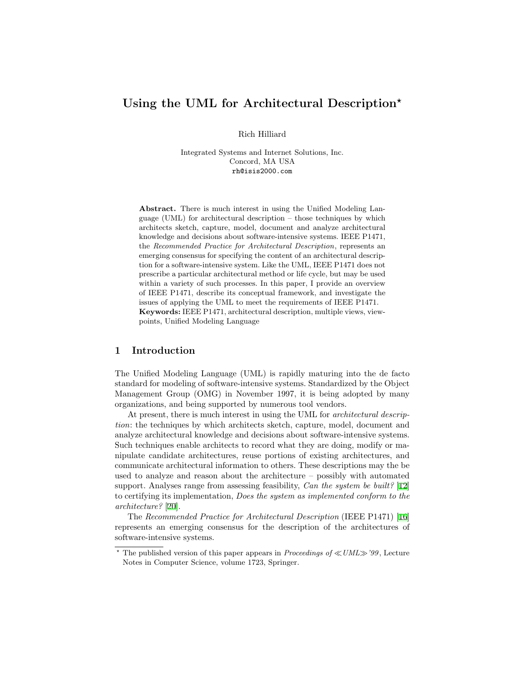# Using the UML for Architectural Description\*

Rich Hilliard

Integrated Systems and Internet Solutions, Inc. Concord, MA USA rh@isis2000.com

Abstract. There is much interest in using the Unified Modeling Language (UML) for architectural description – those techniques by which architects sketch, capture, model, document and analyze architectural knowledge and decisions about software-intensive systems. IEEE P1471, the Recommended Practice for Architectural Description, represents an emerging consensus for specifying the content of an architectural description for a software-intensive system. Like the UML, IEEE P1471 does not prescribe a particular architectural method or life cycle, but may be used within a variety of such processes. In this paper, I provide an overview of IEEE P1471, describe its conceptual framework, and investigate the issues of applying the UML to meet the requirements of IEEE P1471. Keywords: IEEE P1471, architectural description, multiple views, viewpoints, Unified Modeling Language

### 1 Introduction

The Unified Modeling Language (UML) is rapidly maturing into the de facto standard for modeling of software-intensive systems. Standardized by the Object Management Group (OMG) in November 1997, it is being adopted by many organizations, and being supported by numerous tool vendors.

At present, there is much interest in using the UML for architectural description: the techniques by which architects sketch, capture, model, document and analyze architectural knowledge and decisions about software-intensive systems. Such techniques enable architects to record what they are doing, modify or manipulate candidate architectures, reuse portions of existing architectures, and communicate architectural information to others. These descriptions may the be used to analyze and reason about the architecture – possibly with automated support. Analyses range from assessing feasibility, Can the system be built? [[12\]](#page-15-0) to certifying its implementation, Does the system as implemented conform to the architecture? [\[20](#page-16-0)].

The Recommended Practice for Architectural Description (IEEE P1471)[[16\]](#page-16-1) represents an emerging consensus for the description of the architectures of software-intensive systems.

<sup>&</sup>lt;sup>\*</sup> The published version of this paper appears in *Proceedings of*  $\ll$  *UML* $\gg$  '99, Lecture Notes in Computer Science, volume 1723, Springer.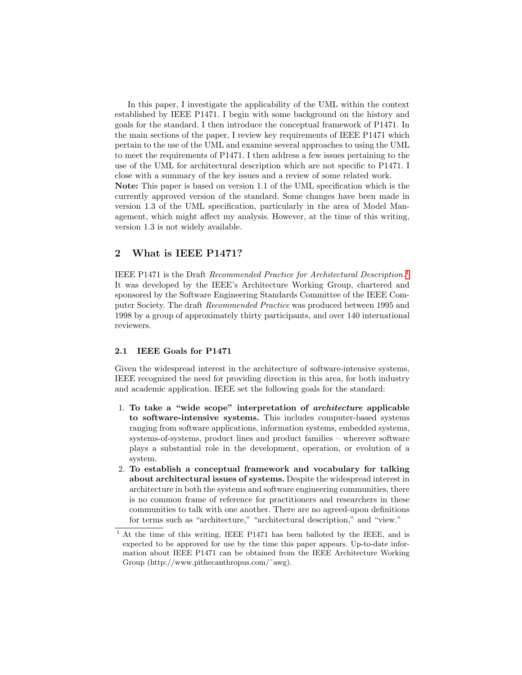In this paper, I investigate the applicability of the UML within the context established by IEEE P1471. I begin with some background on the history and goals for the standard. I then introduce the conceptual framework of P1471. In the main sections of the paper, I review key requirements of IEEE P1471 which pertain to the use of the UML and examine several approaches to using the UML to meet the requirements of P1471. I then address a few issues pertaining to the use of the UML for architectural description which are not specific to P1471. I close with a summary of the key issues and a review of some related work. Note: This paper is based on version 1.1 of the UML specification which is the currently approved version of the standard. Some changes have been made in version 1.3 of the UML specification, particularly in the area of Model Management, which might affect my analysis. However, at the time of this writing, version 1.3 is not widely available.

### 2 What is IEEE P1471?

IEEE P[1](#page-1-0)471 is the Draft Recommended Practice for Architectural Description.<sup>1</sup> It was developed by the IEEE's Architecture Working Group, chartered and sponsored by the Software Engineering Standards Committee of the IEEE Computer Society. The draft Recommended Practice was produced between 1995 and 1998 by a group of approximately thirty participants, and over 140 international reviewers.

#### 2.1 IEEE Goals for P1471

Given the widespread interest in the architecture of software-intensive systems, IEEE recognized the need for providing direction in this area, for both industry and academic application. IEEE set the following goals for the standard:

- 1. To take a "wide scope" interpretation of architecture applicable to software-intensive systems. This includes computer-based systems ranging from software applications, information systems, embedded systems, systems-of-systems, product lines and product families – wherever software plays a substantial role in the development, operation, or evolution of a system.
- 2. To establish a conceptual framework and vocabulary for talking about architectural issues of systems. Despite the widespread interest in architecture in both the systems and software engineering communities, there is no common frame of reference for practitioners and researchers in these communities to talk with one another. There are no agreed-upon definitions for terms such as "architecture," "architectural description," and "view."

<span id="page-1-0"></span><sup>&</sup>lt;sup>1</sup> At the time of this writing, IEEE P1471 has been balloted by the IEEE, and is expected to be approved for use by the time this paper appears. Up-to-date information about IEEE P1471 can be obtained from the IEEE Architecture Working Group (http://www.pithecanthropus.com/˜awg).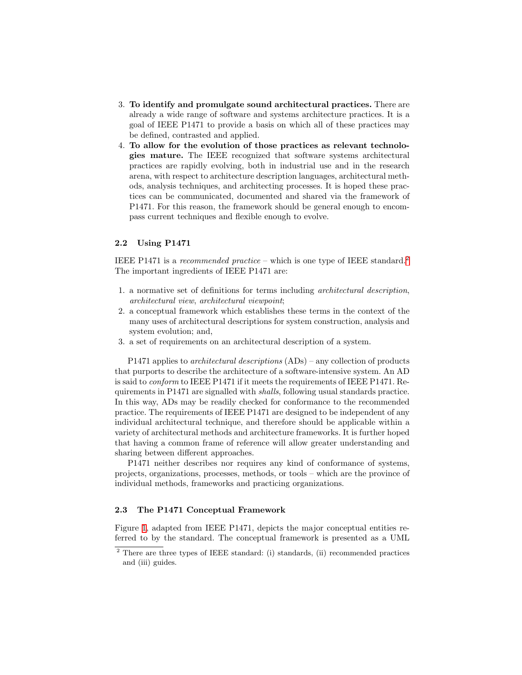- 3. To identify and promulgate sound architectural practices. There are already a wide range of software and systems architecture practices. It is a goal of IEEE P1471 to provide a basis on which all of these practices may be defined, contrasted and applied.
- 4. To allow for the evolution of those practices as relevant technologies mature. The IEEE recognized that software systems architectural practices are rapidly evolving, both in industrial use and in the research arena, with respect to architecture description languages, architectural methods, analysis techniques, and architecting processes. It is hoped these practices can be communicated, documented and shared via the framework of P1471. For this reason, the framework should be general enough to encompass current techniques and flexible enough to evolve.

### 2.2 Using P1471

IEEE P1471 is a recommended practice – which is one type of IEEE standard.<sup>[2](#page-2-0)</sup> The important ingredients of IEEE P1471 are:

- 1. a normative set of definitions for terms including architectural description, architectural view, architectural viewpoint;
- 2. a conceptual framework which establishes these terms in the context of the many uses of architectural descriptions for system construction, analysis and system evolution; and,
- 3. a set of requirements on an architectural description of a system.

P1471 applies to architectural descriptions (ADs) – any collection of products that purports to describe the architecture of a software-intensive system. An AD is said to conform to IEEE P1471 if it meets the requirements of IEEE P1471. Requirements in P1471 are signalled with shalls, following usual standards practice. In this way, ADs may be readily checked for conformance to the recommended practice. The requirements of IEEE P1471 are designed to be independent of any individual architectural technique, and therefore should be applicable within a variety of architectural methods and architecture frameworks. It is further hoped that having a common frame of reference will allow greater understanding and sharing between different approaches.

P1471 neither describes nor requires any kind of conformance of systems, projects, organizations, processes, methods, or tools – which are the province of individual methods, frameworks and practicing organizations.

#### 2.3 The P1471 Conceptual Framework

Figure [1,](#page-3-0) adapted from IEEE P1471, depicts the major conceptual entities referred to by the standard. The conceptual framework is presented as a UML

<span id="page-2-0"></span><sup>2</sup> There are three types of IEEE standard: (i) standards, (ii) recommended practices and (iii) guides.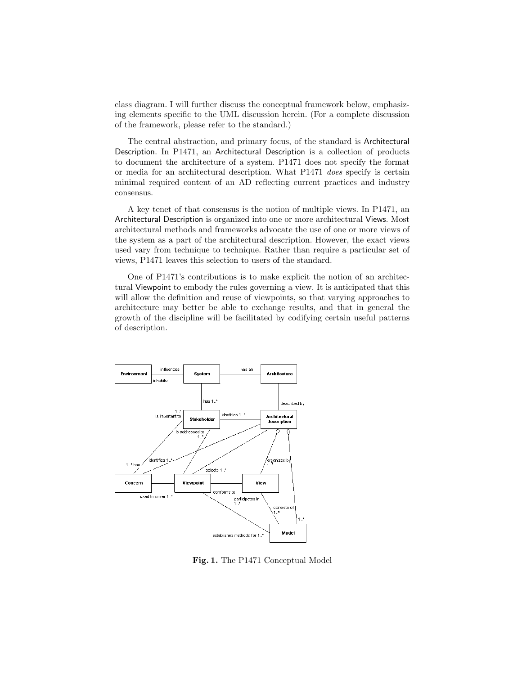class diagram. I will further discuss the conceptual framework below, emphasizing elements specific to the UML discussion herein. (For a complete discussion of the framework, please refer to the standard.)

The central abstraction, and primary focus, of the standard is Architectural Description. In P1471, an Architectural Description is a collection of products to document the architecture of a system. P1471 does not specify the format or media for an architectural description. What P1471 does specify is certain minimal required content of an AD reflecting current practices and industry consensus.

A key tenet of that consensus is the notion of multiple views. In P1471, an Architectural Description is organized into one or more architectural Views. Most architectural methods and frameworks advocate the use of one or more views of the system as a part of the architectural description. However, the exact views used vary from technique to technique. Rather than require a particular set of views, P1471 leaves this selection to users of the standard.

One of P1471's contributions is to make explicit the notion of an architectural Viewpoint to embody the rules governing a view. It is anticipated that this will allow the definition and reuse of viewpoints, so that varying approaches to architecture may better be able to exchange results, and that in general the growth of the discipline will be facilitated by codifying certain useful patterns of description.



<span id="page-3-0"></span>Fig. 1. The P1471 Conceptual Model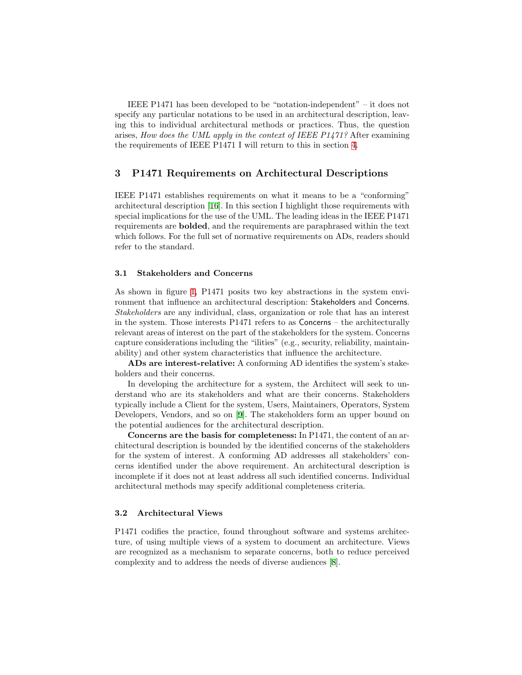IEEE P1471 has been developed to be "notation-independent" – it does not specify any particular notations to be used in an architectural description, leaving this to individual architectural methods or practices. Thus, the question arises, How does the UML apply in the context of IEEE P1471? After examining the requirements of IEEE P1471 I will return to this in section [4.](#page-8-0)

### <span id="page-4-0"></span>3 P1471 Requirements on Architectural Descriptions

IEEE P1471 establishes requirements on what it means to be a "conforming" architectural description [\[16](#page-16-1)]. In this section I highlight those requirements with special implications for the use of the UML. The leading ideas in the IEEE P1471 requirements are bolded, and the requirements are paraphrased within the text which follows. For the full set of normative requirements on ADs, readers should refer to the standard.

#### 3.1 Stakeholders and Concerns

As shown in figure [1,](#page-3-0) P1471 posits two key abstractions in the system environment that influence an architectural description: Stakeholders and Concerns. Stakeholders are any individual, class, organization or role that has an interest in the system. Those interests P1471 refers to as Concerns – the architecturally relevant areas of interest on the part of the stakeholders for the system. Concerns capture considerations including the "ilities" (e.g., security, reliability, maintainability) and other system characteristics that influence the architecture.

ADs are interest-relative: A conforming AD identifies the system's stakeholders and their concerns.

In developing the architecture for a system, the Architect will seek to understand who are its stakeholders and what are their concerns. Stakeholders typically include a Client for the system, Users, Maintainers, Operators, System Developers, Vendors, and so on[[9](#page-15-1)]. The stakeholders form an upper bound on the potential audiences for the architectural description.

Concerns are the basis for completeness: In P1471, the content of an architectural description is bounded by the identified concerns of the stakeholders for the system of interest. A conforming AD addresses all stakeholders' concerns identified under the above requirement. An architectural description is incomplete if it does not at least address all such identified concerns. Individual architectural methods may specify additional completeness criteria.

#### 3.2 Architectural Views

P1471 codifies the practice, found throughout software and systems architecture, of using multiple views of a system to document an architecture. Views are recognized as a mechanism to separate concerns, both to reduce perceived complexity and to address the needs of diverse audiences [\[8](#page-15-2)].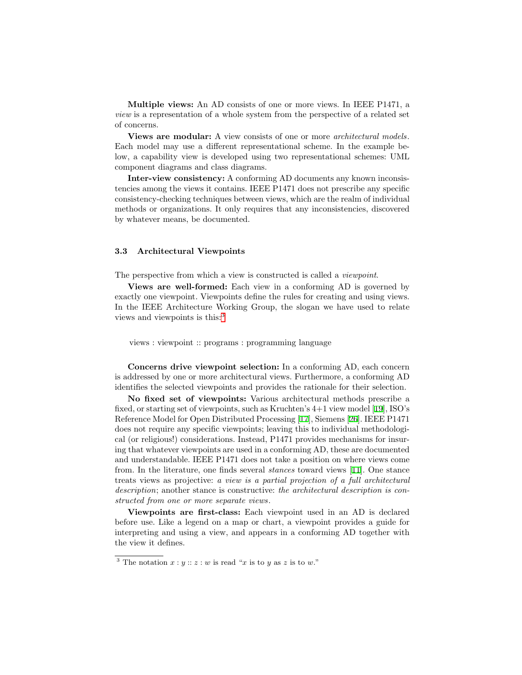Multiple views: An AD consists of one or more views. In IEEE P1471, a view is a representation of a whole system from the perspective of a related set of concerns.

**Views are modular:** A view consists of one or more *architectural models*. Each model may use a different representational scheme. In the example below, a capability view is developed using two representational schemes: UML component diagrams and class diagrams.

Inter-view consistency: A conforming AD documents any known inconsistencies among the views it contains. IEEE P1471 does not prescribe any specific consistency-checking techniques between views, which are the realm of individual methods or organizations. It only requires that any inconsistencies, discovered by whatever means, be documented.

#### 3.3 Architectural Viewpoints

The perspective from which a view is constructed is called a *viewpoint*.

Views are well-formed: Each view in a conforming AD is governed by exactly one viewpoint. Viewpoints define the rules for creating and using views. In the IEEE Architecture Working Group, the slogan we have used to relate views and viewpoints is this:[3](#page-5-0)

views : viewpoint :: programs : programming language

Concerns drive viewpoint selection: In a conforming AD, each concern is addressed by one or more architectural views. Furthermore, a conforming AD identifies the selected viewpoints and provides the rationale for their selection.

No fixed set of viewpoints: Various architectural methods prescribe a fixed, or starting set of viewpoints, such as Kruchten's 4+1 view model [\[19](#page-16-2)], ISO's Reference Model for Open Distributed Processing[[17\]](#page-16-3), Siemens[[26\]](#page-16-4). IEEE P1471 does not require any specific viewpoints; leaving this to individual methodological (or religious!) considerations. Instead, P1471 provides mechanisms for insuring that whatever viewpoints are used in a conforming AD, these are documented and understandable. IEEE P1471 does not take a position on where views come from. In the literature, one finds several stances toward views[[11\]](#page-15-3). One stance treats views as projective: a view is a partial projection of a full architectural description; another stance is constructive: the architectural description is constructed from one or more separate views.

Viewpoints are first-class: Each viewpoint used in an AD is declared before use. Like a legend on a map or chart, a viewpoint provides a guide for interpreting and using a view, and appears in a conforming AD together with the view it defines.

<span id="page-5-0"></span><sup>&</sup>lt;sup>3</sup> The notation  $x : y :: z : w$  is read "x is to y as z is to w."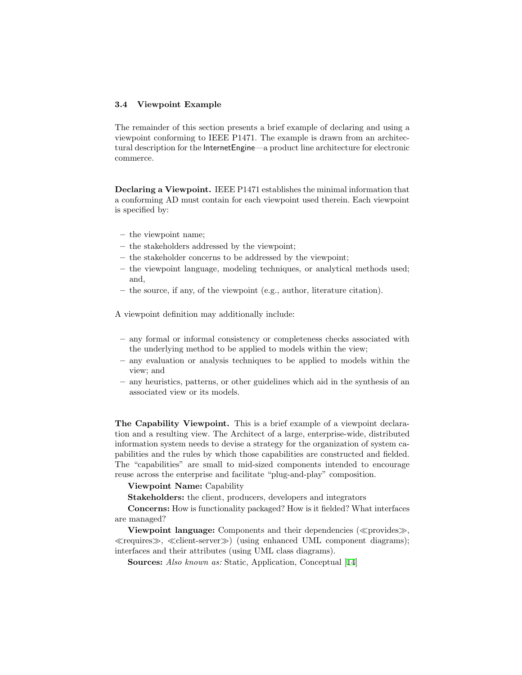#### 3.4 Viewpoint Example

The remainder of this section presents a brief example of declaring and using a viewpoint conforming to IEEE P1471. The example is drawn from an architectural description for the InternetEngine—a product line architecture for electronic commerce.

Declaring a Viewpoint. IEEE P1471 establishes the minimal information that a conforming AD must contain for each viewpoint used therein. Each viewpoint is specified by:

- the viewpoint name;
- the stakeholders addressed by the viewpoint;
- the stakeholder concerns to be addressed by the viewpoint;
- the viewpoint language, modeling techniques, or analytical methods used; and,
- the source, if any, of the viewpoint (e.g., author, literature citation).

A viewpoint definition may additionally include:

- any formal or informal consistency or completeness checks associated with the underlying method to be applied to models within the view;
- any evaluation or analysis techniques to be applied to models within the view; and
- any heuristics, patterns, or other guidelines which aid in the synthesis of an associated view or its models.

The Capability Viewpoint. This is a brief example of a viewpoint declaration and a resulting view. The Architect of a large, enterprise-wide, distributed information system needs to devise a strategy for the organization of system capabilities and the rules by which those capabilities are constructed and fielded. The "capabilities" are small to mid-sized components intended to encourage reuse across the enterprise and facilitate "plug-and-play" composition.

#### Viewpoint Name: Capability

Stakeholders: the client, producers, developers and integrators

Concerns: How is functionality packaged? How is it fielded? What interfaces are managed?

Viewpoint language: Components and their dependencies  $(\ll p$ rovides $\gg$ ,  $\ll$ requires $\gg$ ,  $\ll$ client-server $\gg$ ) (using enhanced UML component diagrams); interfaces and their attributes (using UML class diagrams).

Sources: Also known as: Static, Application, Conceptual[[14\]](#page-16-5)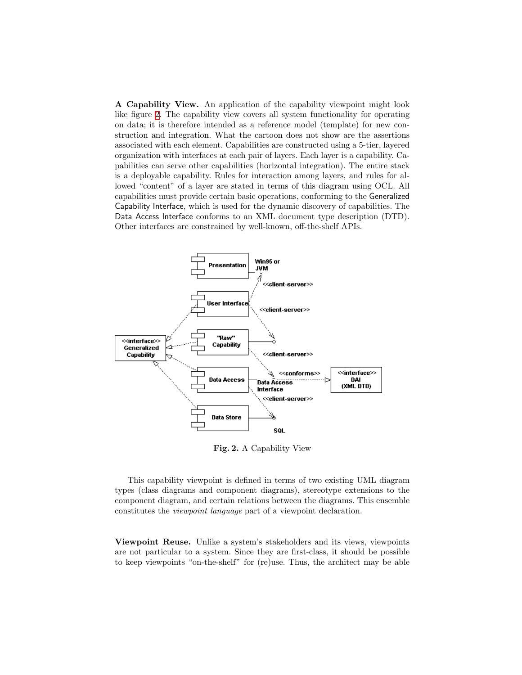A Capability View. An application of the capability viewpoint might look like figure [2](#page-7-0). The capability view covers all system functionality for operating on data; it is therefore intended as a reference model (template) for new construction and integration. What the cartoon does not show are the assertions associated with each element. Capabilities are constructed using a 5-tier, layered organization with interfaces at each pair of layers. Each layer is a capability. Capabilities can serve other capabilities (horizontal integration). The entire stack is a deployable capability. Rules for interaction among layers, and rules for allowed "content" of a layer are stated in terms of this diagram using OCL. All capabilities must provide certain basic operations, conforming to the Generalized Capability Interface, which is used for the dynamic discovery of capabilities. The Data Access Interface conforms to an XML document type description (DTD). Other interfaces are constrained by well-known, off-the-shelf APIs.



<span id="page-7-0"></span>Fig. 2. A Capability View

This capability viewpoint is defined in terms of two existing UML diagram types (class diagrams and component diagrams), stereotype extensions to the component diagram, and certain relations between the diagrams. This ensemble constitutes the viewpoint language part of a viewpoint declaration.

Viewpoint Reuse. Unlike a system's stakeholders and its views, viewpoints are not particular to a system. Since they are first-class, it should be possible to keep viewpoints "on-the-shelf" for (re)use. Thus, the architect may be able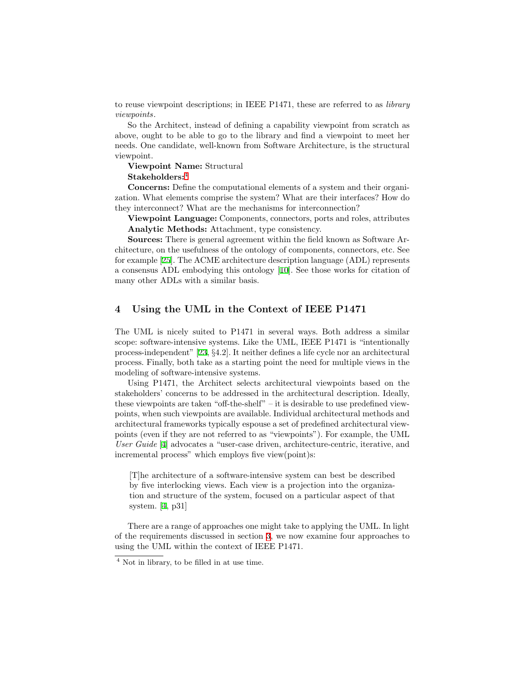to reuse viewpoint descriptions; in IEEE P1471, these are referred to as *library* viewpoints.

So the Architect, instead of defining a capability viewpoint from scratch as above, ought to be able to go to the library and find a viewpoint to meet her needs. One candidate, well-known from Software Architecture, is the structural viewpoint.

Viewpoint Name: Structural Stakeholders:[4](#page-8-1)

Concerns: Define the computational elements of a system and their organization. What elements comprise the system? What are their interfaces? How do they interconnect? What are the mechanisms for interconnection?

Viewpoint Language: Components, connectors, ports and roles, attributes Analytic Methods: Attachment, type consistency.

Sources: There is general agreement within the field known as Software Architecture, on the usefulness of the ontology of components, connectors, etc. See for example [\[25](#page-16-6)]. The ACME architecture description language (ADL) represents a consensus ADL embodying this ontology [\[10](#page-15-4)]. See those works for citation of many other ADLs with a similar basis.

## <span id="page-8-0"></span>4 Using the UML in the Context of IEEE P1471

The UML is nicely suited to P1471 in several ways. Both address a similar scope: software-intensive systems. Like the UML, IEEE P1471 is "intentionally process-independent"[[23,](#page-16-7) §4.2]. It neither defines a life cycle nor an architectural process. Finally, both take as a starting point the need for multiple views in the modeling of software-intensive systems.

Using P1471, the Architect selects architectural viewpoints based on the stakeholders' concerns to be addressed in the architectural description. Ideally, these viewpoints are taken "off-the-shelf" – it is desirable to use predefined viewpoints, when such viewpoints are available. Individual architectural methods and architectural frameworks typically espouse a set of predefined architectural viewpoints (even if they are not referred to as "viewpoints"). For example, the UML User Guide [[4\]](#page-15-5) advocates a "user-case driven, architecture-centric, iterative, and incremental process" which employs five view(point)s:

[T]he architecture of a software-intensive system can best be described by five interlocking views. Each view is a projection into the organization and structure of the system, focused on a particular aspect of that system. [\[4](#page-15-5), p31]

There are a range of approaches one might take to applying the UML. In light of the requirements discussed in section [3](#page-4-0), we now examine four approaches to using the UML within the context of IEEE P1471.

<span id="page-8-1"></span><sup>4</sup> Not in library, to be filled in at use time.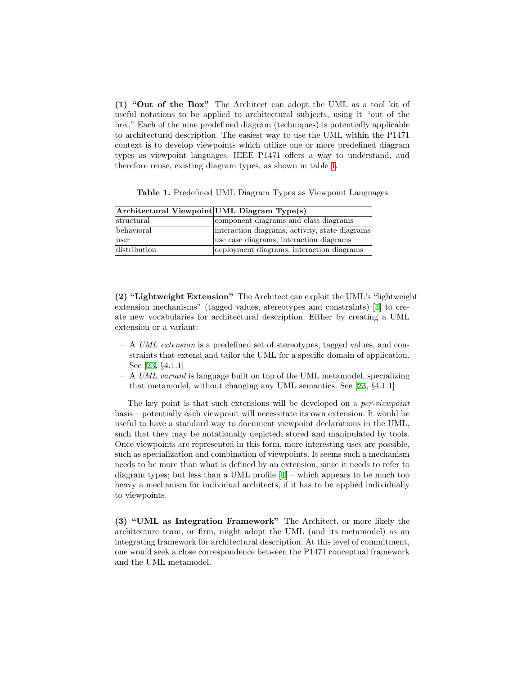(1) "Out of the Box" The Architect can adopt the UML as a tool kit of useful notations to be applied to architectural subjects, using it "out of the box." Each of the nine predefined diagram (techniques) is potentially applicable to architectural description. The easiest way to use the UML within the P1471 context is to develop viewpoints which utilize one or more predefined diagram types as viewpoint languages. IEEE P1471 offers a way to understand, and therefore reuse, existing diagram types, as shown in table [1.](#page-9-0)

<span id="page-9-0"></span>Table 1. Predefined UML Diagram Types as Viewpoint Languages

| Architectural Viewpoint UML Diagram Type(s) |                                                |
|---------------------------------------------|------------------------------------------------|
| structural                                  | component diagrams and class diagrams          |
| behavioral                                  | interaction diagrams, activity, state diagrams |
| user                                        | use case diagrams, interaction diagrams        |
| distribution                                | deployment diagrams, interaction diagrams      |

(2) "Lightweight Extension" The Architect can exploit the UML's "lightweight extension mechanisms" (tagged values, stereotypes and constraints) [\[4](#page-15-5)] to create new vocabularies for architectural description. Either by creating a UML extension or a variant:

- A UML extension is a predefined set of stereotypes, tagged values, and constraints that extend and tailor the UML for a specific domain of application. See [\[23](#page-16-7), §4.1.1]
- A UML variant is language built on top of the UML metamodel, specializing that metamodel, without changing any UML semantics. See[[23,](#page-16-7) §4.1.1]

The key point is that such extensions will be developed on a *per-viewpoint* basis – potentially each viewpoint will necessitate its own extension. It would be useful to have a standard way to document viewpoint declarations in the UML, such that they may be notationally depicted, stored and manipulated by tools. Once viewpoints are represented in this form, more interesting uses are possible, such as specialization and combination of viewpoints. It seems such a mechanism needs to be more than what is defined by an extension, since it needs to refer to diagramtypes; but less than a UML profile  $[1]$  $[1]$  – which appears to be much too heavy a mechanism for individual architects, if it has to be applied individually to viewpoints.

(3) "UML as Integration Framework" The Architect, or more likely the architecture team, or firm, might adopt the UML (and its metamodel) as an integrating framework for architectural description. At this level of commitment, one would seek a close correspondence between the P1471 conceptual framework and the UML metamodel.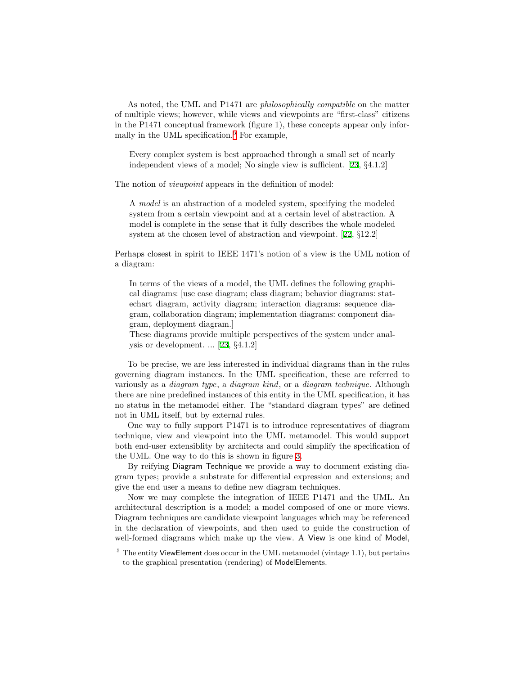As noted, the UML and P1471 are philosophically compatible on the matter of multiple views; however, while views and viewpoints are "first-class" citizens in the P1471 conceptual framework (figure 1), these concepts appear only infor-mally in the UML specification.<sup>[5](#page-10-0)</sup> For example,

Every complex system is best approached through a small set of nearly independent views of a model; No single view is sufficient.[[23,](#page-16-7) §4.1.2]

The notion of *viewpoint* appears in the definition of model:

A model is an abstraction of a modeled system, specifying the modeled system from a certain viewpoint and at a certain level of abstraction. A model is complete in the sense that it fully describes the whole modeled system at the chosen level of abstraction and viewpoint.[[22,](#page-16-8) §12.2]

Perhaps closest in spirit to IEEE 1471's notion of a view is the UML notion of a diagram:

In terms of the views of a model, the UML defines the following graphical diagrams: [use case diagram; class diagram; behavior diagrams: statechart diagram, activity diagram; interaction diagrams: sequence diagram, collaboration diagram; implementation diagrams: component diagram, deployment diagram.]

These diagrams provide multiple perspectives of the system under analysis or development. ... [\[23](#page-16-7), §4.1.2]

To be precise, we are less interested in individual diagrams than in the rules governing diagram instances. In the UML specification, these are referred to variously as a diagram type, a diagram kind, or a diagram technique. Although there are nine predefined instances of this entity in the UML specification, it has no status in the metamodel either. The "standard diagram types" are defined not in UML itself, but by external rules.

One way to fully support P1471 is to introduce representatives of diagram technique, view and viewpoint into the UML metamodel. This would support both end-user extensiblity by architects and could simplify the specification of the UML. One way to do this is shown in figure [3](#page-11-0).

By reifying Diagram Technique we provide a way to document existing diagram types; provide a substrate for differential expression and extensions; and give the end user a means to define new diagram techniques.

Now we may complete the integration of IEEE P1471 and the UML. An architectural description is a model; a model composed of one or more views. Diagram techniques are candidate viewpoint languages which may be referenced in the declaration of viewpoints, and then used to guide the construction of well-formed diagrams which make up the view. A View is one kind of Model,

<span id="page-10-0"></span> $5$  The entity ViewElement does occur in the UML metamodel (vintage 1.1), but pertains to the graphical presentation (rendering) of ModelElements.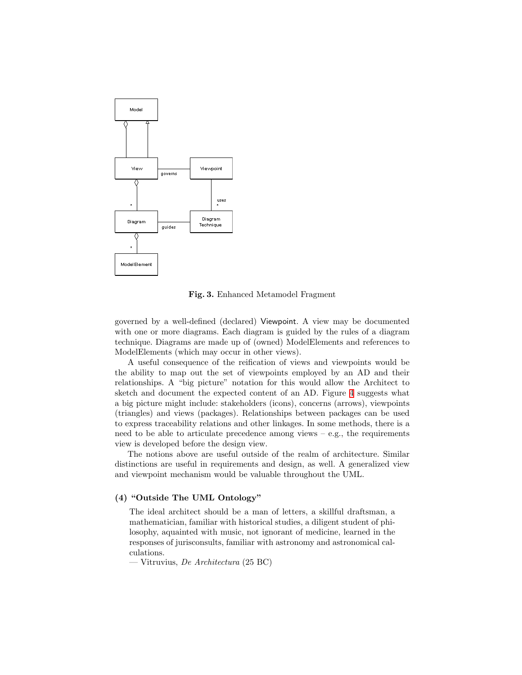

<span id="page-11-0"></span>Fig. 3. Enhanced Metamodel Fragment

governed by a well-defined (declared) Viewpoint. A view may be documented with one or more diagrams. Each diagram is guided by the rules of a diagram technique. Diagrams are made up of (owned) ModelElements and references to ModelElements (which may occur in other views).

A useful consequence of the reification of views and viewpoints would be the ability to map out the set of viewpoints employed by an AD and their relationships. A "big picture" notation for this would allow the Architect to sketch and document the expected content of an AD. Figure [4](#page-12-0) suggests what a big picture might include: stakeholders (icons), concerns (arrows), viewpoints (triangles) and views (packages). Relationships between packages can be used to express traceability relations and other linkages. In some methods, there is a need to be able to articulate precedence among views  $-$  e.g., the requirements view is developed before the design view.

The notions above are useful outside of the realm of architecture. Similar distinctions are useful in requirements and design, as well. A generalized view and viewpoint mechanism would be valuable throughout the UML.

### (4) "Outside The UML Ontology"

The ideal architect should be a man of letters, a skillful draftsman, a mathematician, familiar with historical studies, a diligent student of philosophy, aquainted with music, not ignorant of medicine, learned in the responses of jurisconsults, familiar with astronomy and astronomical calculations.

— Vitruvius, *De Architectura* (25 BC)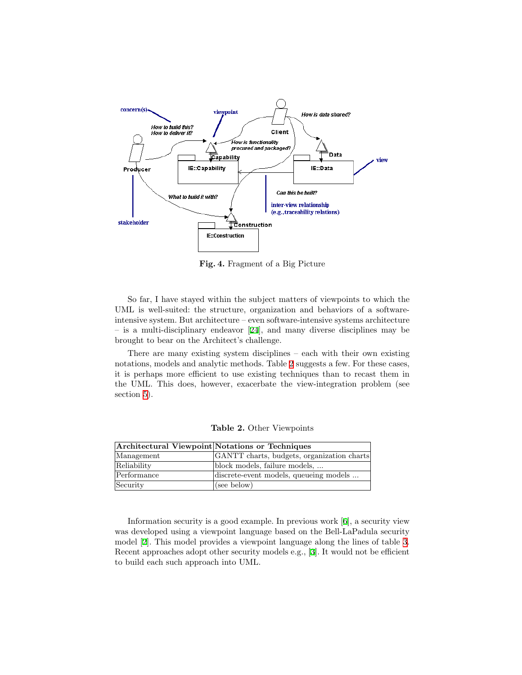

<span id="page-12-0"></span>Fig. 4. Fragment of a Big Picture

So far, I have stayed within the subject matters of viewpoints to which the UML is well-suited: the structure, organization and behaviors of a softwareintensive system. But architecture – even software-intensive systems architecture – is a multi-disciplinary endeavor [\[24](#page-16-9)], and many diverse disciplines may be brought to bear on the Architect's challenge.

There are many existing system disciplines – each with their own existing notations, models and analytic methods. Table [2](#page-12-1) suggests a few. For these cases, it is perhaps more efficient to use existing techniques than to recast them in the UML. This does, however, exacerbate the view-integration problem (see section [5](#page-13-0)).

|             | Architectural Viewpoint Notations or Techniques |
|-------------|-------------------------------------------------|
| Management  | GANTT charts, budgets, organization charts      |
| Reliability | block models, failure models,                   |
| Performance | discrete-event models, queueing models          |
| Security    | (see below)                                     |

<span id="page-12-1"></span>Table 2. Other Viewpoints

Information security is a good example. In previous work[[6\]](#page-15-7), a security view was developed using a viewpoint language based on the Bell-LaPadula security model [\[2](#page-15-8)]. This model provides a viewpoint language along the lines of table [3.](#page-13-1) Recent approaches adopt other security models e.g.,[[3\]](#page-15-9). It would not be efficient to build each such approach into UML.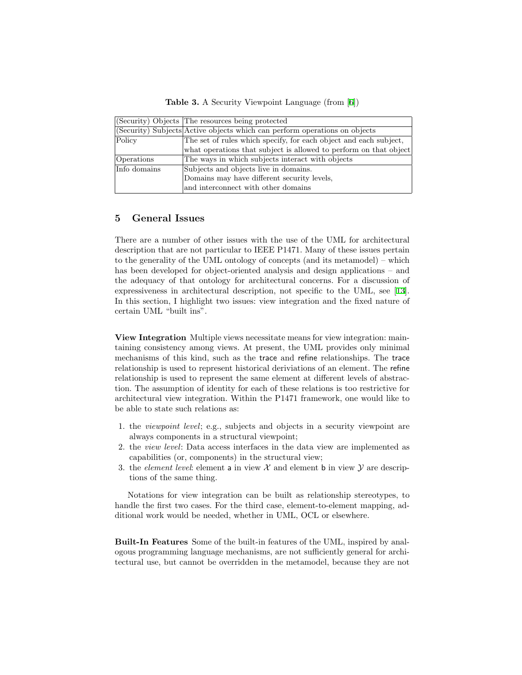<span id="page-13-1"></span>Table 3. A Security Viewpoint Language (from[[6\]](#page-15-7))

|              | (Security) Objects The resources being protected                           |
|--------------|----------------------------------------------------------------------------|
|              | (Security) Subjects Active objects which can perform operations on objects |
| Policy       | The set of rules which specify, for each object and each subject,          |
|              | what operations that subject is allowed to perform on that object          |
| Operations   | The ways in which subjects interact with objects                           |
| Info domains | Subjects and objects live in domains.                                      |
|              | Domains may have different security levels,                                |
|              | and interconnect with other domains                                        |

### <span id="page-13-0"></span>5 General Issues

There are a number of other issues with the use of the UML for architectural description that are not particular to IEEE P1471. Many of these issues pertain to the generality of the UML ontology of concepts (and its metamodel) – which has been developed for object-oriented analysis and design applications – and the adequacy of that ontology for architectural concerns. For a discussion of expressiveness in architectural description, not specific to the UML, see [\[13](#page-16-10)]. In this section, I highlight two issues: view integration and the fixed nature of certain UML "built ins".

View Integration Multiple views necessitate means for view integration: maintaining consistency among views. At present, the UML provides only minimal mechanisms of this kind, such as the trace and refine relationships. The trace relationship is used to represent historical deriviations of an element. The refine relationship is used to represent the same element at different levels of abstraction. The assumption of identity for each of these relations is too restrictive for architectural view integration. Within the P1471 framework, one would like to be able to state such relations as:

- 1. the viewpoint level; e.g., subjects and objects in a security viewpoint are always components in a structural viewpoint;
- 2. the view level: Data access interfaces in the data view are implemented as capabilities (or, components) in the structural view;
- 3. the *element level*: element a in view  $\mathcal X$  and element b in view  $\mathcal Y$  are descriptions of the same thing.

Notations for view integration can be built as relationship stereotypes, to handle the first two cases. For the third case, element-to-element mapping, additional work would be needed, whether in UML, OCL or elsewhere.

Built-In Features Some of the built-in features of the UML, inspired by analogous programming language mechanisms, are not sufficiently general for architectural use, but cannot be overridden in the metamodel, because they are not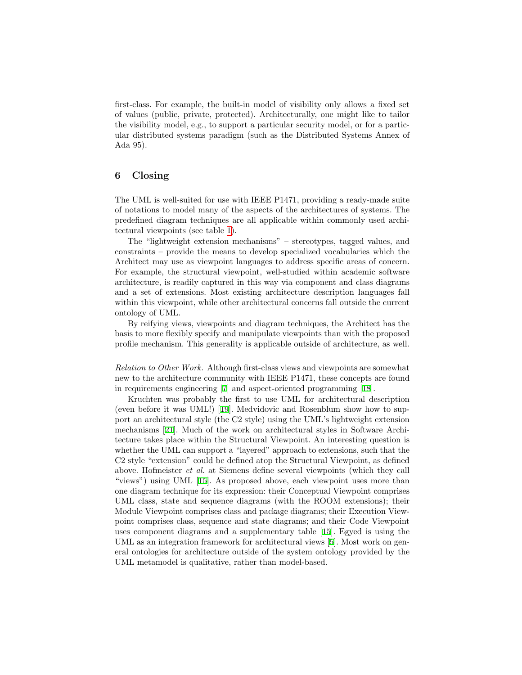first-class. For example, the built-in model of visibility only allows a fixed set of values (public, private, protected). Architecturally, one might like to tailor the visibility model, e.g., to support a particular security model, or for a particular distributed systems paradigm (such as the Distributed Systems Annex of Ada 95).

### 6 Closing

The UML is well-suited for use with IEEE P1471, providing a ready-made suite of notations to model many of the aspects of the architectures of systems. The predefined diagram techniques are all applicable within commonly used architectural viewpoints (see table [1](#page-9-0)).

The "lightweight extension mechanisms" – stereotypes, tagged values, and constraints – provide the means to develop specialized vocabularies which the Architect may use as viewpoint languages to address specific areas of concern. For example, the structural viewpoint, well-studied within academic software architecture, is readily captured in this way via component and class diagrams and a set of extensions. Most existing architecture description languages fall within this viewpoint, while other architectural concerns fall outside the current ontology of UML.

By reifying views, viewpoints and diagram techniques, the Architect has the basis to more flexibly specify and manipulate viewpoints than with the proposed profile mechanism. This generality is applicable outside of architecture, as well.

Relation to Other Work. Although first-class views and viewpoints are somewhat new to the architecture community with IEEE P1471, these concepts are found in requirements engineering [\[7](#page-15-10)] and aspect-oriented programming [\[18](#page-16-11)].

Kruchten was probably the first to use UML for architectural description (even before it was UML!) [\[19](#page-16-2)]. Medvidovic and Rosenblum show how to support an architectural style (the C2 style) using the UML's lightweight extension mechanisms[[21\]](#page-16-12). Much of the work on architectural styles in Software Architecture takes place within the Structural Viewpoint. An interesting question is whether the UML can support a "layered" approach to extensions, such that the C2 style "extension" could be defined atop the Structural Viewpoint, as defined above. Hofmeister et al. at Siemens define several viewpoints (which they call "views") using UML[[15\]](#page-16-13). As proposed above, each viewpoint uses more than one diagram technique for its expression: their Conceptual Viewpoint comprises UML class, state and sequence diagrams (with the ROOM extensions); their Module Viewpoint comprises class and package diagrams; their Execution Viewpoint comprises class, sequence and state diagrams; and their Code Viewpoint uses component diagrams and a supplementary table [\[15](#page-16-13)]. Egyed is using the UML as an integration framework for architectural views[[5\]](#page-15-11). Most work on general ontologies for architecture outside of the system ontology provided by the UML metamodel is qualitative, rather than model-based.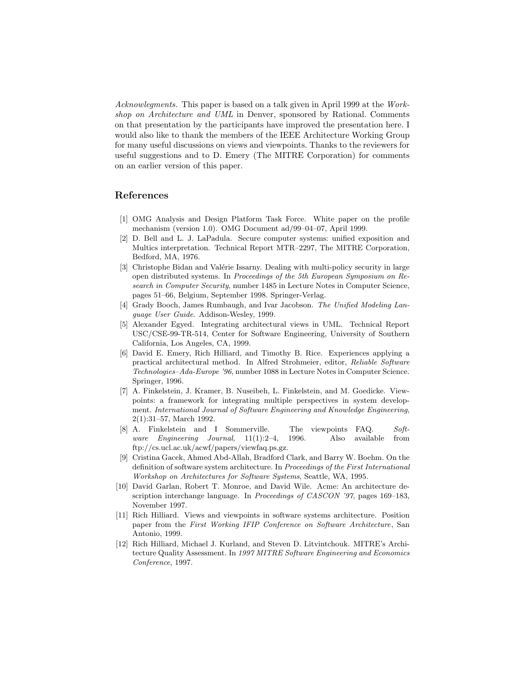Acknowlegments. This paper is based on a talk given in April 1999 at the Workshop on Architecture and UML in Denver, sponsored by Rational. Comments on that presentation by the participants have improved the presentation here. I would also like to thank the members of the IEEE Architecture Working Group for many useful discussions on views and viewpoints. Thanks to the reviewers for useful suggestions and to D. Emery (The MITRE Corporation) for comments on an earlier version of this paper.

### References

- <span id="page-15-6"></span>[1] OMG Analysis and Design Platform Task Force. White paper on the profile mechanism (version 1.0). OMG Document ad/99–04–07, April 1999.
- <span id="page-15-8"></span>[2] D. Bell and L. J. LaPadula. Secure computer systems: unified exposition and Multics interpretation. Technical Report MTR–2297, The MITRE Corporation, Bedford, MA, 1976.
- <span id="page-15-9"></span>[3] Christophe Bidan and Valérie Issarny. Dealing with multi-policy security in large open distributed systems. In Proceedings of the 5th European Symposium on Research in Computer Security, number 1485 in Lecture Notes in Computer Science, pages 51–66, Belgium, September 1998. Springer-Verlag.
- <span id="page-15-5"></span>[4] Grady Booch, James Rumbaugh, and Ivar Jacobson. The Unified Modeling Language User Guide. Addison-Wesley, 1999.
- <span id="page-15-11"></span>[5] Alexander Egyed. Integrating architectural views in UML. Technical Report USC/CSE-99-TR-514, Center for Software Engineering, University of Southern California, Los Angeles, CA, 1999.
- <span id="page-15-7"></span>[6] David E. Emery, Rich Hilliard, and Timothy B. Rice. Experiences applying a practical architectural method. In Alfred Strohmeier, editor, Reliable Software Technologies–Ada-Europe '96, number 1088 in Lecture Notes in Computer Science. Springer, 1996.
- <span id="page-15-10"></span>[7] A. Finkelstein, J. Kramer, B. Nuseibeh, L. Finkelstein, and M. Goedicke. Viewpoints: a framework for integrating multiple perspectives in system development. International Journal of Software Engineering and Knowledge Engineering, 2(1):31–57, March 1992.
- <span id="page-15-2"></span>[8] A. Finkelstein and I Sommerville. The viewpoints FAQ. Software Engineering Journal, 11(1):2–4, 1996. Also available from ftp://cs.ucl.ac.uk/acwf/papers/viewfaq.ps.gz.
- <span id="page-15-1"></span>[9] Cristina Gacek, Ahmed Abd-Allah, Bradford Clark, and Barry W. Boehm. On the definition of software system architecture. In Proceedings of the First International Workshop on Architectures for Software Systems, Seattle, WA, 1995.
- <span id="page-15-4"></span>[10] David Garlan, Robert T. Monroe, and David Wile. Acme: An architecture description interchange language. In Proceedings of CASCON '97, pages 169-183, November 1997.
- <span id="page-15-3"></span>[11] Rich Hilliard. Views and viewpoints in software systems architecture. Position paper from the First Working IFIP Conference on Software Architecture, San Antonio, 1999.
- <span id="page-15-0"></span>[12] Rich Hilliard, Michael J. Kurland, and Steven D. Litvintchouk. MITRE's Architecture Quality Assessment. In 1997 MITRE Software Engineering and Economics Conference, 1997.